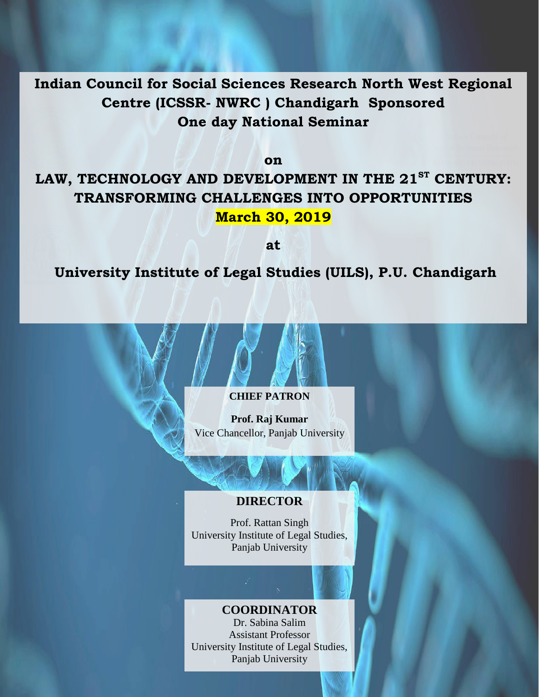**Indian Council for Social Sciences Research North West Regional Centre (ICSSR- NWRC ) Chandigarh Sponsored One day National Seminar**

**on** 

# **LAW, TECHNOLOGY AND DEVELOPMENT IN THE 21ST CENTURY: TRANSFORMING CHALLENGES INTO OPPORTUNITIES March 30, 2019**

**at**

**University Institute of Legal Studies (UILS), P.U. Chandigarh**

#### **CHIEF PATRON**

**Prof. Raj Kumar** Vice Chancellor, Panjab University

#### **DIRECTOR**

Prof. Rattan Singh University Institute of Legal Studies, Panjab University

## **COORDINATOR**

Dr. Sabina Salim Assistant Professor University Institute of Legal Studies, Panjab University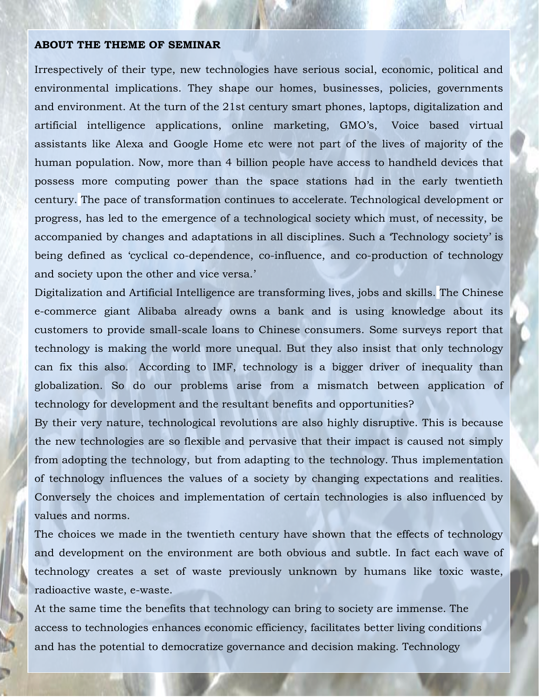#### **ABOUT THE THEME OF SEMINAR**

Irrespectively of their type, new technologies have serious social, economic, political and environmental implications. They shape our homes, businesses, policies, governments and environment. At the turn of the 21st century smart phones, laptops, digitalization and artificial intelligence applications, online marketing, GMO"s, Voice based virtual assistants like Alexa and Google Home etc were not part of the lives of majority of the human population. Now, more than 4 billion people have access to handheld devices that possess more computing power than the space stations had in the early twentieth century. The pace of transformation continues to accelerate. Technological development or progress, has led to the emergence of a technological society which must, of necessity, be accompanied by changes and adaptations in all disciplines. Such a "Technology society" is being defined as 'cyclical co-dependence, co-influence, and co-production of technology and society upon the other and vice versa.'

Digitalization and Artificial Intelligence are transforming lives, jobs and skills. The Chinese e-commerce giant Alibaba already owns a bank and is using knowledge about its customers to provide small-scale loans to Chinese consumers. Some surveys report that technology is making the world more unequal. But they also insist that only technology can fix this also. According to IMF, technology is a bigger driver of inequality than globalization. So do our problems arise from a mismatch between application of technology for development and the resultant benefits and opportunities?

By their very nature, technological revolutions are also highly disruptive. This is because the new technologies are so flexible and pervasive that their impact is caused not simply from adopting the technology, but from adapting to the technology. Thus implementation of technology influences the values of a society by changing expectations and realities. Conversely the choices and implementation of certain technologies is also influenced by values and norms.

The choices we made in the twentieth century have shown that the effects of technology and development on the environment are both obvious and subtle. In fact each wave of technology creates a set of waste previously unknown by humans like toxic waste, radioactive waste, e-waste.

At the same time the benefits that technology can bring to society are immense. The access to technologies enhances economic efficiency, facilitates better living conditions and has the potential to democratize governance and decision making. Technology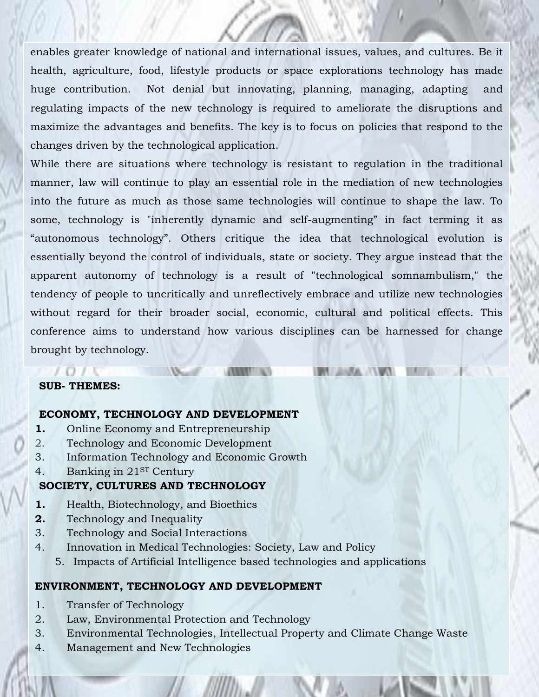enables greater knowledge of national and international issues, values, and cultures. Be it health, agriculture, food, lifestyle products or space explorations technology has made huge contribution. Not denial but innovating, planning, managing, adapting and regulating impacts of the new technology is required to ameliorate the disruptions and maximize the advantages and benefits. The key is to focus on policies that respond to the changes driven by the technological application.

While there are situations where technology is resistant to regulation in the traditional manner, law will continue to play an essential role in the mediation of new technologies into the future as much as those same technologies will continue to shape the law. To some, technology is "inherently dynamic and self-augmenting" in fact terming it as "autonomous technology". Others critique the idea that technological evolution is essentially beyond the control of individuals, state or society. They argue instead that the apparent autonomy of technology is a result of "technological somnambulism," the tendency of people to uncritically and unreflectively embrace and utilize new technologies without regard for their broader social, economic, cultural and political effects. This conference aims to understand how various disciplines can be harnessed for change brought by technology.

**RA** 

#### **SUB- THEMES:**

#### **ECONOMY, TECHNOLOGY AND DEVELOPMENT**

1115

- **1.** Online Economy and Entrepreneurship
- 2. Technology and Economic Development
- 3. Information Technology and Economic Growth
- 4. Banking in 21<sup>ST</sup> Century

#### **SOCIETY, CULTURES AND TECHNOLOGY**

- **1.** Health, Biotechnology, and Bioethics
- **2.** Technology and Inequality
- 3. Technology and Social Interactions
- 4. Innovation in Medical Technologies: Society, Law and Policy
	- 5. Impacts of Artificial Intelligence based technologies and applications

#### **ENVIRONMENT, TECHNOLOGY AND DEVELOPMENT**

- 1. Transfer of Technology
- 2. Law, Environmental Protection and Technology
- 3. Environmental Technologies, Intellectual Property and Climate Change Waste
- 4. Management and New Technologies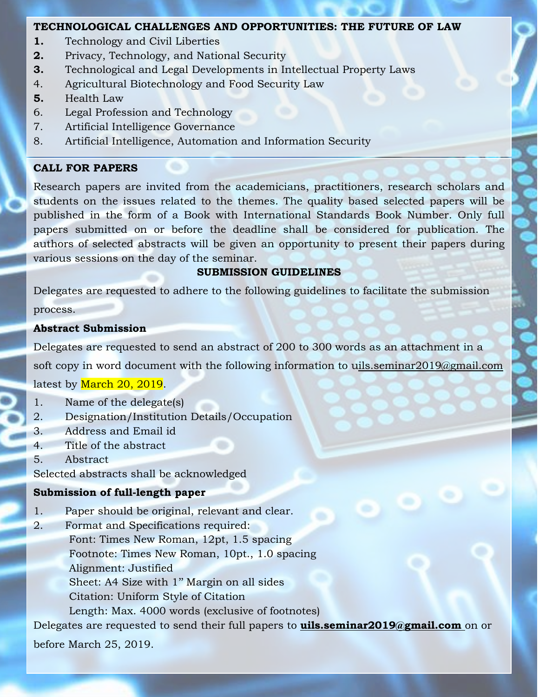#### **TECHNOLOGICAL CHALLENGES AND OPPORTUNITIES: THE FUTURE OF LAW**

- **1.** Technology and Civil Liberties
- **2.** Privacy, Technology, and National Security
- **3.** Technological and Legal Developments in Intellectual Property Laws
- 4. Agricultural Biotechnology and Food Security Law
- **5.** Health Law
- 6. Legal Profession and Technology
- 7. Artificial Intelligence Governance
- 8. Artificial Intelligence, Automation and Information Security

#### **CALL FOR PAPERS**

Research papers are invited from the academicians, practitioners, research scholars and students on the issues related to the themes. The quality based selected papers will be published in the form of a Book with International Standards Book Number. Only full papers submitted on or before the deadline shall be considered for publication. The authors of selected abstracts will be given an opportunity to present their papers during various sessions on the day of the seminar.

## **SUBMISSION GUIDELINES**

Delegates are requested to adhere to the following guidelines to facilitate the submission process.

#### **Abstract Submission**

Delegates are requested to send an abstract of 200 to 300 words as an attachment in a soft copy in word document with the following information to uils.seminar2019@gmail.com latest by March 20, 2019.

- 1. Name of the delegate(s)
- 2. Designation/Institution Details/Occupation
- 3. Address and Email id
- 4. Title of the abstract
- 5. Abstract

Selected abstracts shall be acknowledged

## **Submission of full-length paper**

- 1. Paper should be original, relevant and clear.
- 2. Format and Specifications required: Font: Times New Roman, 12pt, 1.5 spacing Footnote: Times New Roman, 10pt., 1.0 spacing Alignment: Justified Sheet: A4 Size with 1" Margin on all sides Citation: Uniform Style of Citation Length: Max. 4000 words (exclusive of footnotes)

Delegates are requested to send their full papers to **uils.seminar2019@gmail.com** on or

before March 25, 2019.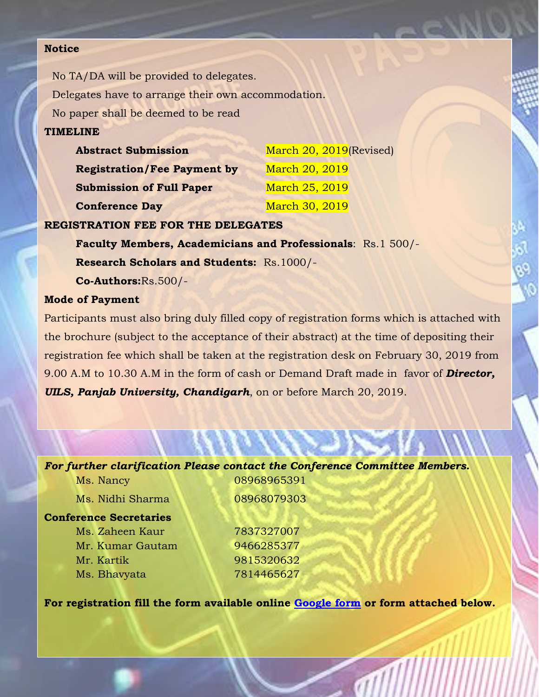#### **Notice**

No TA/DA will be provided to delegates. Delegates have to arrange their own accommodation. No paper shall be deemed to be read **TIMELINE**

| <b>Abstract Submission</b>         | March 20, 2019 (Revised) |
|------------------------------------|--------------------------|
| <b>Registration/Fee Payment by</b> | March 20, 2019           |
| <b>Submission of Full Paper</b>    | March 25, 2019           |
| <b>Conference Day</b>              | March 30, 2019           |

#### **REGISTRATION FEE FOR THE DELEGATES**

**Faculty Members, Academicians and Professionals**: Rs.1 500/- **Research Scholars and Students:** Rs.1000/-

**Co-Authors:**Rs.500/-

#### **Mode of Payment**

**Conf** 

Participants must also bring duly filled copy of registration forms which is attached with the brochure (subject to the acceptance of their abstract) at the time of depositing their registration fee which shall be taken at the registration desk on February 30, 2019 from 9.00 A.M to 10.30 A.M in the form of cash or Demand Draft made in favor of *Director, UILS, Panjab University, Chandigarh*, on or before March 20, 2019.

*For further clarification Please contact the Conference Committee Members.*

| Ms. Nancy          | 08968965391 |  |
|--------------------|-------------|--|
| Ms. Nidhi Sharma   | 08968079303 |  |
| erence Secretaries |             |  |
| Ms. Zaheen Kaur    | 7837327007  |  |
| Mr. Kumar Gautam   | 9466285377  |  |
| Mr. Kartik         | 9815320632  |  |
| Ms. Bhavyata       | 7814465627  |  |
|                    |             |  |

**For registration fill the form available online [Google form](https://docs.google.com/forms/d/e/1FAIpQLSerOz7SWVHKhVqYi8zvn8C0qrfwf8o6VYpCPVhQU_ATnoHpwg/viewform?usp=sf_link) or form attached below.**

all